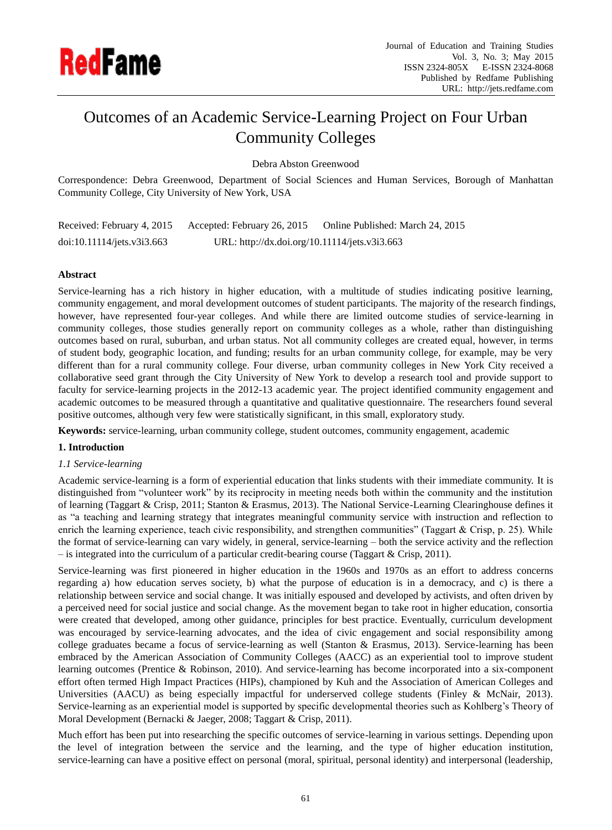

# Outcomes of an Academic Service-Learning Project on Four Urban Community Colleges

Debra Abston Greenwood

Correspondence: Debra Greenwood, Department of Social Sciences and Human Services, Borough of Manhattan Community College, City University of New York, USA

Received: February 4, 2015 Accepted: February 26, 2015 Online Published: March 24, 2015 doi:10.11114/jets.v3i3.663 URL: http://dx.doi.org/10.11114/jets.v3i3.663

## **Abstract**

Service-learning has a rich history in higher education, with a multitude of studies indicating positive learning, community engagement, and moral development outcomes of student participants. The majority of the research findings, however, have represented four-year colleges. And while there are limited outcome studies of service-learning in community colleges, those studies generally report on community colleges as a whole, rather than distinguishing outcomes based on rural, suburban, and urban status. Not all community colleges are created equal, however, in terms of student body, geographic location, and funding; results for an urban community college, for example, may be very different than for a rural community college. Four diverse, urban community colleges in New York City received a collaborative seed grant through the City University of New York to develop a research tool and provide support to faculty for service-learning projects in the 2012-13 academic year. The project identified community engagement and academic outcomes to be measured through a quantitative and qualitative questionnaire. The researchers found several positive outcomes, although very few were statistically significant, in this small, exploratory study.

**Keywords:** service-learning, urban community college, student outcomes, community engagement, academic

## **1. Introduction**

## *1.1 Service-learning*

Academic service-learning is a form of experiential education that links students with their immediate community. It is distinguished from "volunteer work" by its reciprocity in meeting needs both within the community and the institution of learning (Taggart & Crisp, 2011; Stanton & Erasmus, 2013). The National Service-Learning Clearinghouse defines it as "a teaching and learning strategy that integrates meaningful community service with instruction and reflection to enrich the learning experience, teach civic responsibility, and strengthen communities" (Taggart & Crisp, p. 25). While the format of service-learning can vary widely, in general, service-learning – both the service activity and the reflection – is integrated into the curriculum of a particular credit-bearing course (Taggart & Crisp, 2011).

Service-learning was first pioneered in higher education in the 1960s and 1970s as an effort to address concerns regarding a) how education serves society, b) what the purpose of education is in a democracy, and c) is there a relationship between service and social change. It was initially espoused and developed by activists, and often driven by a perceived need for social justice and social change. As the movement began to take root in higher education, consortia were created that developed, among other guidance, principles for best practice. Eventually, curriculum development was encouraged by service-learning advocates, and the idea of civic engagement and social responsibility among college graduates became a focus of service-learning as well (Stanton & Erasmus, 2013). Service-learning has been embraced by the American Association of Community Colleges (AACC) as an experiential tool to improve student learning outcomes (Prentice & Robinson, 2010). And service-learning has become incorporated into a six-component effort often termed High Impact Practices (HIPs), championed by Kuh and the Association of American Colleges and Universities (AACU) as being especially impactful for underserved college students (Finley & McNair, 2013). Service-learning as an experiential model is supported by specific developmental theories such as Kohlberg's Theory of Moral Development (Bernacki & Jaeger, 2008; Taggart & Crisp, 2011).

Much effort has been put into researching the specific outcomes of service-learning in various settings. Depending upon the level of integration between the service and the learning, and the type of higher education institution, service-learning can have a positive effect on personal (moral, spiritual, personal identity) and interpersonal (leadership,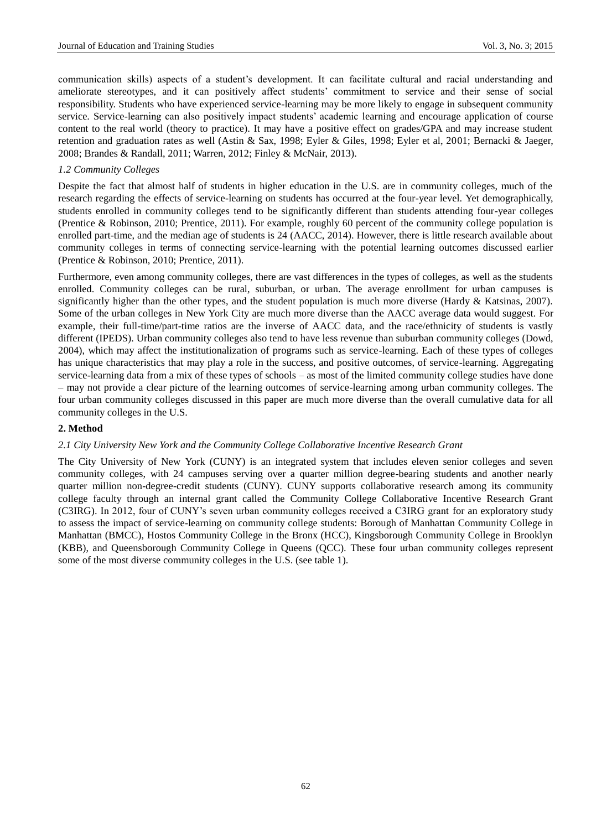communication skills) aspects of a student's development. It can facilitate cultural and racial understanding and ameliorate stereotypes, and it can positively affect students' commitment to service and their sense of social responsibility. Students who have experienced service-learning may be more likely to engage in subsequent community service. Service-learning can also positively impact students' academic learning and encourage application of course content to the real world (theory to practice). It may have a positive effect on grades/GPA and may increase student retention and graduation rates as well (Astin & Sax, 1998; Eyler & Giles, 1998; Eyler et al, 2001; Bernacki & Jaeger, 2008; Brandes & Randall, 2011; Warren, 2012; Finley & McNair, 2013).

## *1.2 Community Colleges*

Despite the fact that almost half of students in higher education in the U.S. are in community colleges, much of the research regarding the effects of service-learning on students has occurred at the four-year level. Yet demographically, students enrolled in community colleges tend to be significantly different than students attending four-year colleges (Prentice & Robinson, 2010; Prentice, 2011). For example, roughly 60 percent of the community college population is enrolled part-time, and the median age of students is 24 (AACC, 2014). However, there is little research available about community colleges in terms of connecting service-learning with the potential learning outcomes discussed earlier (Prentice & Robinson, 2010; Prentice, 2011).

Furthermore, even among community colleges, there are vast differences in the types of colleges, as well as the students enrolled. Community colleges can be rural, suburban, or urban. The average enrollment for urban campuses is significantly higher than the other types, and the student population is much more diverse (Hardy & Katsinas, 2007). Some of the urban colleges in New York City are much more diverse than the AACC average data would suggest. For example, their full-time/part-time ratios are the inverse of AACC data, and the race/ethnicity of students is vastly different (IPEDS). Urban community colleges also tend to have less revenue than suburban community colleges (Dowd, 2004), which may affect the institutionalization of programs such as service-learning. Each of these types of colleges has unique characteristics that may play a role in the success, and positive outcomes, of service-learning. Aggregating service-learning data from a mix of these types of schools – as most of the limited community college studies have done – may not provide a clear picture of the learning outcomes of service-learning among urban community colleges. The four urban community colleges discussed in this paper are much more diverse than the overall cumulative data for all community colleges in the U.S.

## **2. Method**

#### *2.1 City University New York and the Community College Collaborative Incentive Research Grant*

The City University of New York (CUNY) is an integrated system that includes eleven senior colleges and seven community colleges, with 24 campuses serving over a quarter million degree-bearing students and another nearly quarter million non-degree-credit students (CUNY). CUNY supports collaborative research among its community college faculty through an internal grant called the Community College Collaborative Incentive Research Grant (C3IRG). In 2012, four of CUNY's seven urban community colleges received a C3IRG grant for an exploratory study to assess the impact of service-learning on community college students: Borough of Manhattan Community College in Manhattan (BMCC), Hostos Community College in the Bronx (HCC), Kingsborough Community College in Brooklyn (KBB), and Queensborough Community College in Queens (QCC). These four urban community colleges represent some of the most diverse community colleges in the U.S. (see table 1).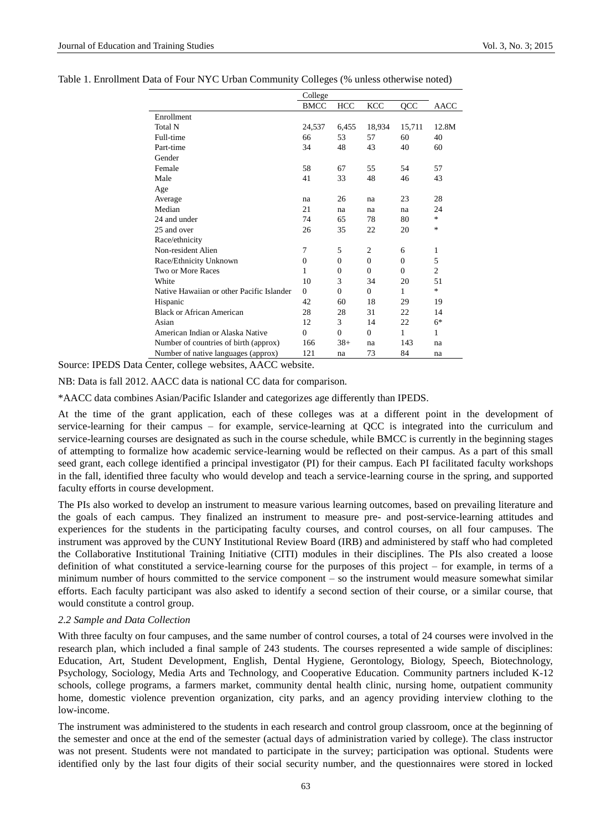|                                           | College     |          |            |          |                |
|-------------------------------------------|-------------|----------|------------|----------|----------------|
|                                           | <b>BMCC</b> | HCC      | <b>KCC</b> | QCC      | <b>AACC</b>    |
| Enrollment                                |             |          |            |          |                |
| Total N                                   | 24,537      | 6,455    | 18,934     | 15,711   | 12.8M          |
| Full-time                                 | 66          | 53       | 57         | 60       | 40             |
| Part-time                                 | 34          | 48       | 43         | 40       | 60             |
| Gender                                    |             |          |            |          |                |
| Female                                    | 58          | 67       | 55         | 54       | 57             |
| Male                                      | 41          | 33       | 48         | 46       | 43             |
| Age                                       |             |          |            |          |                |
| Average                                   | na          | 26       | na         | 23       | 28             |
| Median                                    | 21          | na       | na         | na       | 24             |
| 24 and under                              | 74          | 65       | 78         | 80       | $\ast$         |
| 25 and over                               | 26          | 35       | 22         | 20       | $\ast$         |
| Race/ethnicity                            |             |          |            |          |                |
| Non-resident Alien                        | 7           | 5        | 2          | 6        | 1              |
| Race/Ethnicity Unknown                    | $\theta$    | $\Omega$ | $\Omega$   | $\Omega$ | 5              |
| Two or More Races                         | 1           | $\Omega$ | $\Omega$   | $\Omega$ | $\overline{2}$ |
| White                                     | 10          | 3        | 34         | 20       | 51             |
| Native Hawaiian or other Pacific Islander | $\Omega$    | $\theta$ | $\Omega$   | 1        | $\ast$         |
| Hispanic                                  | 42          | 60       | 18         | 29       | 19             |
| <b>Black or African American</b>          | 28          | 28       | 31         | 22       | 14             |
| Asian                                     | 12          | 3        | 14         | 22       | 6*             |
| American Indian or Alaska Native          | $\Omega$    | $\Omega$ | $\Omega$   | 1        | 1              |
| Number of countries of birth (approx)     | 166         | $38+$    | na         | 143      | na             |
| Number of native languages (approx)       | 121         | na       | 73         | 84       | na             |

Source: IPEDS Data Center, college websites, AACC website.

NB: Data is fall 2012. AACC data is national CC data for comparison.

\*AACC data combines Asian/Pacific Islander and categorizes age differently than IPEDS.

At the time of the grant application, each of these colleges was at a different point in the development of service-learning for their campus – for example, service-learning at QCC is integrated into the curriculum and service-learning courses are designated as such in the course schedule, while BMCC is currently in the beginning stages of attempting to formalize how academic service-learning would be reflected on their campus. As a part of this small seed grant, each college identified a principal investigator (PI) for their campus. Each PI facilitated faculty workshops in the fall, identified three faculty who would develop and teach a service-learning course in the spring, and supported faculty efforts in course development.

The PIs also worked to develop an instrument to measure various learning outcomes, based on prevailing literature and the goals of each campus. They finalized an instrument to measure pre- and post-service-learning attitudes and experiences for the students in the participating faculty courses, and control courses, on all four campuses. The instrument was approved by the CUNY Institutional Review Board (IRB) and administered by staff who had completed the Collaborative Institutional Training Initiative (CITI) modules in their disciplines. The PIs also created a loose definition of what constituted a service-learning course for the purposes of this project – for example, in terms of a minimum number of hours committed to the service component – so the instrument would measure somewhat similar efforts. Each faculty participant was also asked to identify a second section of their course, or a similar course, that would constitute a control group.

#### *2.2 Sample and Data Collection*

With three faculty on four campuses, and the same number of control courses, a total of 24 courses were involved in the research plan, which included a final sample of 243 students. The courses represented a wide sample of disciplines: Education, Art, Student Development, English, Dental Hygiene, Gerontology, Biology, Speech, Biotechnology, Psychology, Sociology, Media Arts and Technology, and Cooperative Education. Community partners included K-12 schools, college programs, a farmers market, community dental health clinic, nursing home, outpatient community home, domestic violence prevention organization, city parks, and an agency providing interview clothing to the low-income.

The instrument was administered to the students in each research and control group classroom, once at the beginning of the semester and once at the end of the semester (actual days of administration varied by college). The class instructor was not present. Students were not mandated to participate in the survey; participation was optional. Students were identified only by the last four digits of their social security number, and the questionnaires were stored in locked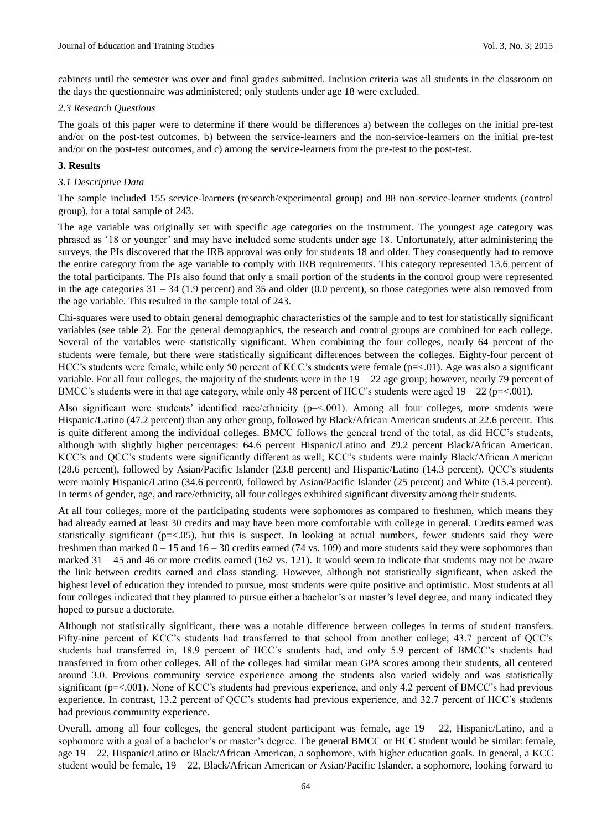cabinets until the semester was over and final grades submitted. Inclusion criteria was all students in the classroom on the days the questionnaire was administered; only students under age 18 were excluded.

#### *2.3 Research Questions*

The goals of this paper were to determine if there would be differences a) between the colleges on the initial pre-test and/or on the post-test outcomes, b) between the service-learners and the non-service-learners on the initial pre-test and/or on the post-test outcomes, and c) among the service-learners from the pre-test to the post-test.

## **3. Results**

#### *3.1 Descriptive Data*

The sample included 155 service-learners (research/experimental group) and 88 non-service-learner students (control group), for a total sample of 243.

The age variable was originally set with specific age categories on the instrument. The youngest age category was phrased as '18 or younger' and may have included some students under age 18. Unfortunately, after administering the surveys, the PIs discovered that the IRB approval was only for students 18 and older. They consequently had to remove the entire category from the age variable to comply with IRB requirements. This category represented 13.6 percent of the total participants. The PIs also found that only a small portion of the students in the control group were represented in the age categories  $31 - 34$  (1.9 percent) and 35 and older (0.0 percent), so those categories were also removed from the age variable. This resulted in the sample total of 243.

Chi-squares were used to obtain general demographic characteristics of the sample and to test for statistically significant variables (see table 2). For the general demographics, the research and control groups are combined for each college. Several of the variables were statistically significant. When combining the four colleges, nearly 64 percent of the students were female, but there were statistically significant differences between the colleges. Eighty-four percent of HCC's students were female, while only 50 percent of KCC's students were female (p=<.01). Age was also a significant variable. For all four colleges, the majority of the students were in the  $19 - 22$  age group; however, nearly 79 percent of BMCC's students were in that age category, while only 48 percent of HCC's students were aged  $19 - 22$  (p=<.001).

Also significant were students' identified race/ethnicity (p=<.001). Among all four colleges, more students were Hispanic/Latino (47.2 percent) than any other group, followed by Black/African American students at 22.6 percent. This is quite different among the individual colleges. BMCC follows the general trend of the total, as did HCC's students, although with slightly higher percentages: 64.6 percent Hispanic/Latino and 29.2 percent Black/African American. KCC's and QCC's students were significantly different as well; KCC's students were mainly Black/African American (28.6 percent), followed by Asian/Pacific Islander (23.8 percent) and Hispanic/Latino (14.3 percent). QCC's students were mainly Hispanic/Latino (34.6 percent0, followed by Asian/Pacific Islander (25 percent) and White (15.4 percent). In terms of gender, age, and race/ethnicity, all four colleges exhibited significant diversity among their students.

At all four colleges, more of the participating students were sophomores as compared to freshmen, which means they had already earned at least 30 credits and may have been more comfortable with college in general. Credits earned was statistically significant ( $p = < 0.05$ ), but this is suspect. In looking at actual numbers, fewer students said they were freshmen than marked  $0 - 15$  and  $16 - 30$  credits earned (74 vs. 109) and more students said they were sophomores than marked 31 – 45 and 46 or more credits earned (162 vs. 121). It would seem to indicate that students may not be aware the link between credits earned and class standing. However, although not statistically significant, when asked the highest level of education they intended to pursue, most students were quite positive and optimistic. Most students at all four colleges indicated that they planned to pursue either a bachelor's or master's level degree, and many indicated they hoped to pursue a doctorate.

Although not statistically significant, there was a notable difference between colleges in terms of student transfers. Fifty-nine percent of KCC's students had transferred to that school from another college; 43.7 percent of QCC's students had transferred in, 18.9 percent of HCC's students had, and only 5.9 percent of BMCC's students had transferred in from other colleges. All of the colleges had similar mean GPA scores among their students, all centered around 3.0. Previous community service experience among the students also varied widely and was statistically significant (p=<.001). None of KCC's students had previous experience, and only 4.2 percent of BMCC's had previous experience. In contrast, 13.2 percent of QCC's students had previous experience, and 32.7 percent of HCC's students had previous community experience.

Overall, among all four colleges, the general student participant was female, age  $19 - 22$ , Hispanic/Latino, and a sophomore with a goal of a bachelor's or master's degree. The general BMCC or HCC student would be similar: female, age 19 – 22, Hispanic/Latino or Black/African American, a sophomore, with higher education goals. In general, a KCC student would be female, 19 – 22, Black/African American or Asian/Pacific Islander, a sophomore, looking forward to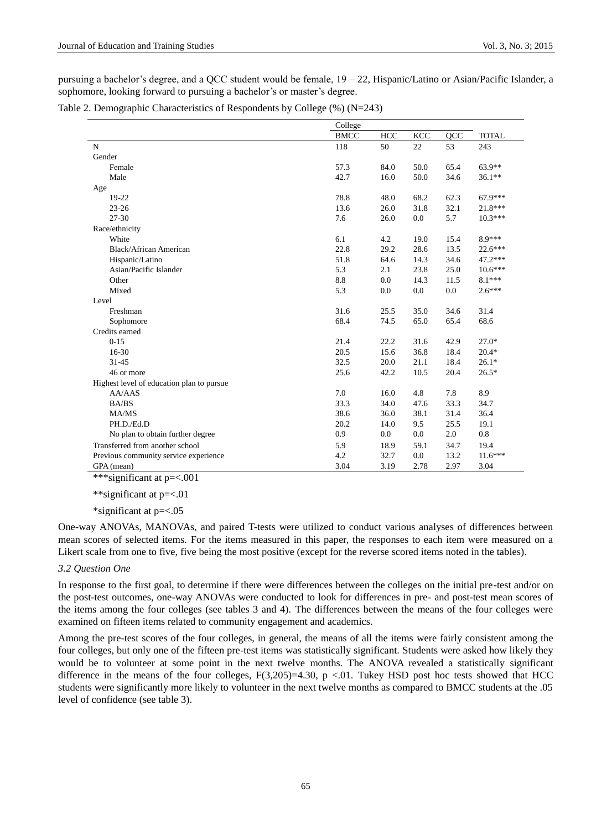pursuing a bachelor's degree, and a QCC student would be female, 19 – 22, Hispanic/Latino or Asian/Pacific Islander, a sophomore, looking forward to pursuing a bachelor's or master's degree.

Table 2. Demographic Characteristics of Respondents by College (%) (N=243)

|                                           | College     |      |            |      |              |  |  |
|-------------------------------------------|-------------|------|------------|------|--------------|--|--|
|                                           | <b>BMCC</b> | HCC  | <b>KCC</b> | QCC  | <b>TOTAL</b> |  |  |
| $\mathbf N$                               | 118         | 50   | 22         | 53   | 243          |  |  |
| Gender                                    |             |      |            |      |              |  |  |
| Female                                    | 57.3        | 84.0 | 50.0       | 65.4 | $63.9**$     |  |  |
| Male                                      | 42.7        | 16.0 | 50.0       | 34.6 | $36.1**$     |  |  |
| Age                                       |             |      |            |      |              |  |  |
| 19-22                                     | 78.8        | 48.0 | 68.2       | 62.3 | 67.9***      |  |  |
| $23 - 26$                                 | 13.6        | 26.0 | 31.8       | 32.1 | 21.8***      |  |  |
| 27-30                                     | 7.6         | 26.0 | 0.0        | 5.7  | $10.3***$    |  |  |
| Race/ethnicity                            |             |      |            |      |              |  |  |
| White                                     | 6.1         | 4.2  | 19.0       | 15.4 | $8.9***$     |  |  |
| <b>Black/African American</b>             | 22.8        | 29.2 | 28.6       | 13.5 | $22.6***$    |  |  |
| Hispanic/Latino                           | 51.8        | 64.6 | 14.3       | 34.6 | 47.2***      |  |  |
| Asian/Pacific Islander                    | 5.3         | 2.1  | 23.8       | 25.0 | $10.6***$    |  |  |
| Other                                     | 8.8         | 0.0  | 14.3       | 11.5 | $8.1***$     |  |  |
| Mixed                                     | 5.3         | 0.0  | 0.0        | 0.0  | $2.6***$     |  |  |
| Level                                     |             |      |            |      |              |  |  |
| Freshman                                  | 31.6        | 25.5 | 35.0       | 34.6 | 31.4         |  |  |
| Sophomore                                 | 68.4        | 74.5 | 65.0       | 65.4 | 68.6         |  |  |
| Credits earned                            |             |      |            |      |              |  |  |
| $0-15$                                    | 21.4        | 22.2 | 31.6       | 42.9 | $27.0*$      |  |  |
| 16-30                                     | 20.5        | 15.6 | 36.8       | 18.4 | $20.4*$      |  |  |
| $31 - 45$                                 | 32.5        | 20.0 | 21.1       | 18.4 | $26.1*$      |  |  |
| 46 or more                                | 25.6        | 42.2 | 10.5       | 20.4 | $26.5*$      |  |  |
| Highest level of education plan to pursue |             |      |            |      |              |  |  |
| AA/AdS                                    | 7.0         | 16.0 | 4.8        | 7.8  | 8.9          |  |  |
| <b>BA/BS</b>                              | 33.3        | 34.0 | 47.6       | 33.3 | 34.7         |  |  |
| MA/MS                                     | 38.6        | 36.0 | 38.1       | 31.4 | 36.4         |  |  |
| PH.D./Ed.D                                | 20.2        | 14.0 | 9.5        | 25.5 | 19.1         |  |  |
| No plan to obtain further degree          | 0.9         | 0.0  | 0.0        | 2.0  | 0.8          |  |  |
| Transferred from another school           | 5.9         | 18.9 | 59.1       | 34.7 | 19.4         |  |  |
| Previous community service experience     | 4.2         | 32.7 | 0.0        | 13.2 | $11.6***$    |  |  |
| GPA (mean)                                | 3.04        | 3.19 | 2.78       | 2.97 | 3.04         |  |  |

\*\*\*significant at p=<.001

\*\*significant at p=<.01

\*significant at p=<.05

One-way ANOVAs, MANOVAs, and paired T-tests were utilized to conduct various analyses of differences between mean scores of selected items. For the items measured in this paper, the responses to each item were measured on a Likert scale from one to five, five being the most positive (except for the reverse scored items noted in the tables).

#### *3.2 Question One*

In response to the first goal, to determine if there were differences between the colleges on the initial pre-test and/or on the post-test outcomes, one-way ANOVAs were conducted to look for differences in pre- and post-test mean scores of the items among the four colleges (see tables 3 and 4). The differences between the means of the four colleges were examined on fifteen items related to community engagement and academics.

Among the pre-test scores of the four colleges, in general, the means of all the items were fairly consistent among the four colleges, but only one of the fifteen pre-test items was statistically significant. Students were asked how likely they would be to volunteer at some point in the next twelve months. The ANOVA revealed a statistically significant difference in the means of the four colleges,  $F(3,205)=4.30$ , p <.01. Tukey HSD post hoc tests showed that HCC students were significantly more likely to volunteer in the next twelve months as compared to BMCC students at the .05 level of confidence (see table 3).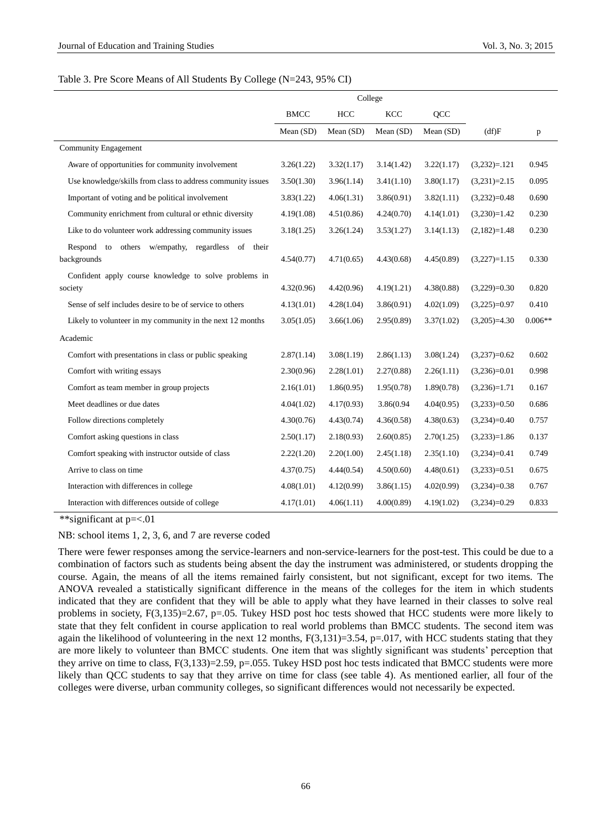#### Table 3. Pre Score Means of All Students By College (N=243, 95% CI)

|                                                                    | <b>BMCC</b> | HCC        | <b>KCC</b> | QCC        |                |           |
|--------------------------------------------------------------------|-------------|------------|------------|------------|----------------|-----------|
|                                                                    | Mean (SD)   | Mean (SD)  | Mean (SD)  | Mean (SD)  | (df)F          | p         |
| <b>Community Engagement</b>                                        |             |            |            |            |                |           |
| Aware of opportunities for community involvement                   | 3.26(1.22)  | 3.32(1.17) | 3.14(1.42) | 3.22(1.17) | $(3,232)=.121$ | 0.945     |
| Use knowledge/skills from class to address community issues        | 3.50(1.30)  | 3.96(1.14) | 3.41(1.10) | 3.80(1.17) | $(3,231)=2.15$ | 0.095     |
| Important of voting and be political involvement                   | 3.83(1.22)  | 4.06(1.31) | 3.86(0.91) | 3.82(1.11) | $(3,232)=0.48$ | 0.690     |
| Community enrichment from cultural or ethnic diversity             | 4.19(1.08)  | 4.51(0.86) | 4.24(0.70) | 4.14(1.01) | $(3,230)=1.42$ | 0.230     |
| Like to do volunteer work addressing community issues              | 3.18(1.25)  | 3.26(1.24) | 3.53(1.27) | 3.14(1.13) | $(2,182)=1.48$ | 0.230     |
| to others w/empathy, regardless of their<br>Respond<br>backgrounds | 4.54(0.77)  | 4.71(0.65) | 4.43(0.68) | 4.45(0.89) | $(3,227)=1.15$ | 0.330     |
| Confident apply course knowledge to solve problems in              |             |            |            |            |                |           |
| society                                                            | 4.32(0.96)  | 4.42(0.96) | 4.19(1.21) | 4.38(0.88) | $(3,229)=0.30$ | 0.820     |
| Sense of self includes desire to be of service to others           | 4.13(1.01)  | 4.28(1.04) | 3.86(0.91) | 4.02(1.09) | $(3,225)=0.97$ | 0.410     |
| Likely to volunteer in my community in the next 12 months          | 3.05(1.05)  | 3.66(1.06) | 2.95(0.89) | 3.37(1.02) | $(3,205)=4.30$ | $0.006**$ |
| Academic                                                           |             |            |            |            |                |           |
| Comfort with presentations in class or public speaking             | 2.87(1.14)  | 3.08(1.19) | 2.86(1.13) | 3.08(1.24) | $(3,237)=0.62$ | 0.602     |
| Comfort with writing essays                                        | 2.30(0.96)  | 2.28(1.01) | 2.27(0.88) | 2.26(1.11) | $(3,236)=0.01$ | 0.998     |
| Comfort as team member in group projects                           | 2.16(1.01)  | 1.86(0.95) | 1.95(0.78) | 1.89(0.78) | $(3,236)=1.71$ | 0.167     |
| Meet deadlines or due dates                                        | 4.04(1.02)  | 4.17(0.93) | 3.86(0.94  | 4.04(0.95) | $(3,233)=0.50$ | 0.686     |
| Follow directions completely                                       | 4.30(0.76)  | 4.43(0.74) | 4.36(0.58) | 4.38(0.63) | $(3,234)=0.40$ | 0.757     |
| Comfort asking questions in class                                  | 2.50(1.17)  | 2.18(0.93) | 2.60(0.85) | 2.70(1.25) | $(3,233)=1.86$ | 0.137     |
| Comfort speaking with instructor outside of class                  | 2.22(1.20)  | 2.20(1.00) | 2.45(1.18) | 2.35(1.10) | $(3,234)=0.41$ | 0.749     |
| Arrive to class on time                                            | 4.37(0.75)  | 4.44(0.54) | 4.50(0.60) | 4.48(0.61) | $(3,233)=0.51$ | 0.675     |
| Interaction with differences in college                            | 4.08(1.01)  | 4.12(0.99) | 3.86(1.15) | 4.02(0.99) | $(3,234)=0.38$ | 0.767     |
| Interaction with differences outside of college                    | 4.17(1.01)  | 4.06(1.11) | 4.00(0.89) | 4.19(1.02) | $(3,234)=0.29$ | 0.833     |

\*\*significant at p=<.01

NB: school items 1, 2, 3, 6, and 7 are reverse coded

There were fewer responses among the service-learners and non-service-learners for the post-test. This could be due to a combination of factors such as students being absent the day the instrument was administered, or students dropping the course. Again, the means of all the items remained fairly consistent, but not significant, except for two items. The ANOVA revealed a statistically significant difference in the means of the colleges for the item in which students indicated that they are confident that they will be able to apply what they have learned in their classes to solve real problems in society,  $F(3,135)=2.67$ , p=.05. Tukey HSD post hoc tests showed that HCC students were more likely to state that they felt confident in course application to real world problems than BMCC students. The second item was again the likelihood of volunteering in the next 12 months,  $F(3,131)=3.54$ ,  $p=.017$ , with HCC students stating that they are more likely to volunteer than BMCC students. One item that was slightly significant was students' perception that they arrive on time to class, F(3,133)=2.59, p=.055. Tukey HSD post hoc tests indicated that BMCC students were more likely than QCC students to say that they arrive on time for class (see table 4). As mentioned earlier, all four of the colleges were diverse, urban community colleges, so significant differences would not necessarily be expected.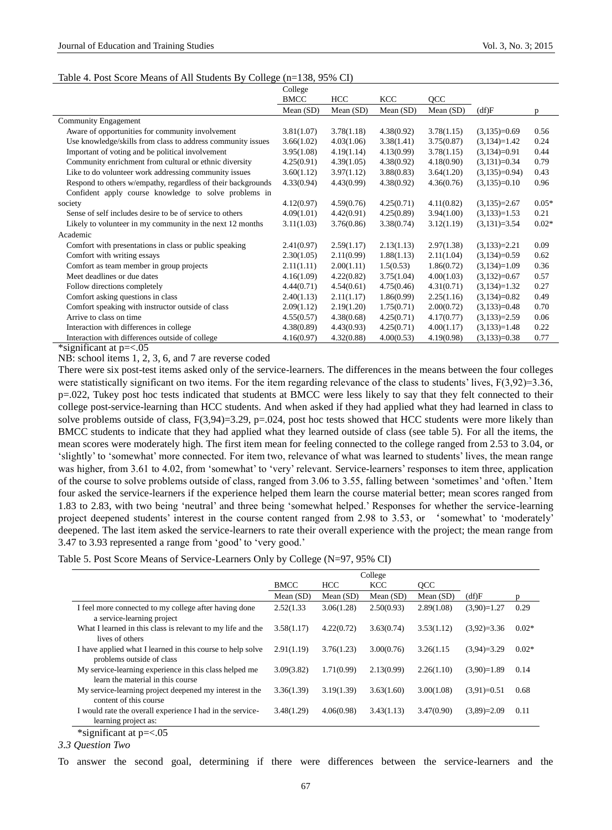## Table 4. Post Score Means of All Students By College (n=138, 95% CI)

|                                                                                                                        | College     |            |             |             |                |              |
|------------------------------------------------------------------------------------------------------------------------|-------------|------------|-------------|-------------|----------------|--------------|
|                                                                                                                        | <b>BMCC</b> | HCC        | <b>KCC</b>  | QCC         |                |              |
|                                                                                                                        | Mean (SD)   | Mean (SD)  | Mean $(SD)$ | Mean $(SD)$ | (df)F          | <sub>D</sub> |
| Community Engagement                                                                                                   |             |            |             |             |                |              |
| Aware of opportunities for community involvement                                                                       | 3.81(1.07)  | 3.78(1.18) | 4.38(0.92)  | 3.78(1.15)  | $(3,135)=0.69$ | 0.56         |
| Use knowledge/skills from class to address community issues                                                            | 3.66(1.02)  | 4.03(1.06) | 3.38(1.41)  | 3.75(0.87)  | $(3,134)=1.42$ | 0.24         |
| Important of voting and be political involvement                                                                       | 3.95(1.08)  | 4.19(1.14) | 4.13(0.99)  | 3.78(1.15)  | $(3,134)=0.91$ | 0.44         |
| Community enrichment from cultural or ethnic diversity                                                                 | 4.25(0.91)  | 4.39(1.05) | 4.38(0.92)  | 4.18(0.90)  | $(3,131)=0.34$ | 0.79         |
| Like to do volunteer work addressing community issues                                                                  | 3.60(1.12)  | 3.97(1.12) | 3.88(0.83)  | 3.64(1.20)  | $(3,135)=0.94$ | 0.43         |
| Respond to others w/empathy, regardless of their backgrounds                                                           | 4.33(0.94)  | 4.43(0.99) | 4.38(0.92)  | 4.36(0.76)  | $(3,135)=0.10$ | 0.96         |
| Confident apply course knowledge to solve problems in                                                                  |             |            |             |             |                |              |
| society                                                                                                                | 4.12(0.97)  | 4.59(0.76) | 4.25(0.71)  | 4.11(0.82)  | $(3,135)=2.67$ | $0.05*$      |
| Sense of self includes desire to be of service to others                                                               | 4.09(1.01)  | 4.42(0.91) | 4.25(0.89)  | 3.94(1.00)  | $(3,133)=1.53$ | 0.21         |
| Likely to volunteer in my community in the next 12 months                                                              | 3.11(1.03)  | 3.76(0.86) | 3.38(0.74)  | 3.12(1.19)  | $(3,131)=3.54$ | $0.02*$      |
| Academic                                                                                                               |             |            |             |             |                |              |
| Comfort with presentations in class or public speaking                                                                 | 2.41(0.97)  | 2.59(1.17) | 2.13(1.13)  | 2.97(1.38)  | $(3,133)=2.21$ | 0.09         |
| Comfort with writing essays                                                                                            | 2.30(1.05)  | 2.11(0.99) | 1.88(1.13)  | 2.11(1.04)  | $(3,134)=0.59$ | 0.62         |
| Comfort as team member in group projects                                                                               | 2.11(1.11)  | 2.00(1.11) | 1.5(0.53)   | 1.86(0.72)  | $(3,134)=1.09$ | 0.36         |
| Meet deadlines or due dates                                                                                            | 4.16(1.09)  | 4.22(0.82) | 3.75(1.04)  | 4.00(1.03)  | $(3,132)=0.67$ | 0.57         |
| Follow directions completely                                                                                           | 4.44(0.71)  | 4.54(0.61) | 4.75(0.46)  | 4.31(0.71)  | $(3,134)=1.32$ | 0.27         |
| Comfort asking questions in class                                                                                      | 2.40(1.13)  | 2.11(1.17) | 1.86(0.99)  | 2.25(1.16)  | $(3,134)=0.82$ | 0.49         |
| Comfort speaking with instructor outside of class                                                                      | 2.09(1.12)  | 2.19(1.20) | 1.75(0.71)  | 2.00(0.72)  | $(3,133)=0.48$ | 0.70         |
| Arrive to class on time                                                                                                | 4.55(0.57)  | 4.38(0.68) | 4.25(0.71)  | 4.17(0.77)  | $(3,133)=2.59$ | 0.06         |
| Interaction with differences in college                                                                                | 4.38(0.89)  | 4.43(0.93) | 4.25(0.71)  | 4.00(1.17)  | $(3,133)=1.48$ | 0.22         |
| Interaction with differences outside of college<br>$\mathbf{a}$ . The second contract of $\mathbf{a}$<br>$\sim$ $\sim$ | 4.16(0.97)  | 4.32(0.88) | 4.00(0.53)  | 4.19(0.98)  | $(3,133)=0.38$ | 0.77         |

\*significant at p=<.05

NB: school items 1, 2, 3, 6, and 7 are reverse coded

There were six post-test items asked only of the service-learners. The differences in the means between the four colleges were statistically significant on two items. For the item regarding relevance of the class to students' lives,  $F(3,92)=3.36$ , p=.022, Tukey post hoc tests indicated that students at BMCC were less likely to say that they felt connected to their college post-service-learning than HCC students. And when asked if they had applied what they had learned in class to solve problems outside of class,  $F(3,94)=3.29$ ,  $p=.024$ , post hoc tests showed that HCC students were more likely than BMCC students to indicate that they had applied what they learned outside of class (see table 5). For all the items, the mean scores were moderately high. The first item mean for feeling connected to the college ranged from 2.53 to 3.04, or 'slightly' to 'somewhat' more connected. For item two, relevance of what was learned to students' lives, the mean range was higher, from 3.61 to 4.02, from 'somewhat' to 'very' relevant. Service-learners' responses to item three, application of the course to solve problems outside of class, ranged from 3.06 to 3.55, falling between 'sometimes' and 'often.' Item four asked the service-learners if the experience helped them learn the course material better; mean scores ranged from 1.83 to 2.83, with two being 'neutral' and three being 'somewhat helped.' Responses for whether the service-learning project deepened students' interest in the course content ranged from 2.98 to 3.53, or 'somewhat' to 'moderately' deepened. The last item asked the service-learners to rate their overall experience with the project; the mean range from 3.47 to 3.93 represented a range from 'good' to 'very good.'

|  |  |  | Table 5. Post Score Means of Service-Learners Only by College (N=97, 95% CI) |  |  |  |
|--|--|--|------------------------------------------------------------------------------|--|--|--|
|  |  |  |                                                                              |  |  |  |

|                                                                                             | College     |             |             |             |               |         |  |  |
|---------------------------------------------------------------------------------------------|-------------|-------------|-------------|-------------|---------------|---------|--|--|
|                                                                                             | <b>BMCC</b> | <b>HCC</b>  | <b>KCC</b>  | <b>OCC</b>  |               |         |  |  |
|                                                                                             | Mean $(SD)$ | Mean $(SD)$ | Mean $(SD)$ | Mean $(SD)$ | (df)F         | n       |  |  |
| I feel more connected to my college after having done<br>a service-learning project         | 2.52(1.33)  | 3.06(1.28)  | 2.50(0.93)  | 2.89(1.08)  | $(3,90)=1.27$ | 0.29    |  |  |
| What I learned in this class is relevant to my life and the<br>lives of others              | 3.58(1.17)  | 4.22(0.72)  | 3.63(0.74)  | 3.53(1.12)  | $(3.92)=3.36$ | $0.02*$ |  |  |
| I have applied what I learned in this course to help solve<br>problems outside of class     | 2.91(1.19)  | 3.76(1.23)  | 3.00(0.76)  | 3.26(1.15)  | $(3,94)=3.29$ | $0.02*$ |  |  |
| My service-learning experience in this class helped me<br>learn the material in this course | 3.09(3.82)  | 1.71(0.99)  | 2.13(0.99)  | 2.26(1.10)  | $(3.90)=1.89$ | 0.14    |  |  |
| My service-learning project deepened my interest in the<br>content of this course           | 3.36(1.39)  | 3.19(1.39)  | 3.63(1.60)  | 3.00(1.08)  | $(3.91)=0.51$ | 0.68    |  |  |
| I would rate the overall experience I had in the service-<br>learning project as:           | 3.48(1.29)  | 4.06(0.98)  | 3.43(1.13)  | 3.47(0.90)  | $(3,89)=2.09$ | 0.11    |  |  |
| $*$ cianificant at n $-$ 05                                                                 |             |             |             |             |               |         |  |  |

\*significant at p=<.05

*3.3 Question Two*

To answer the second goal, determining if there were differences between the service-learners and the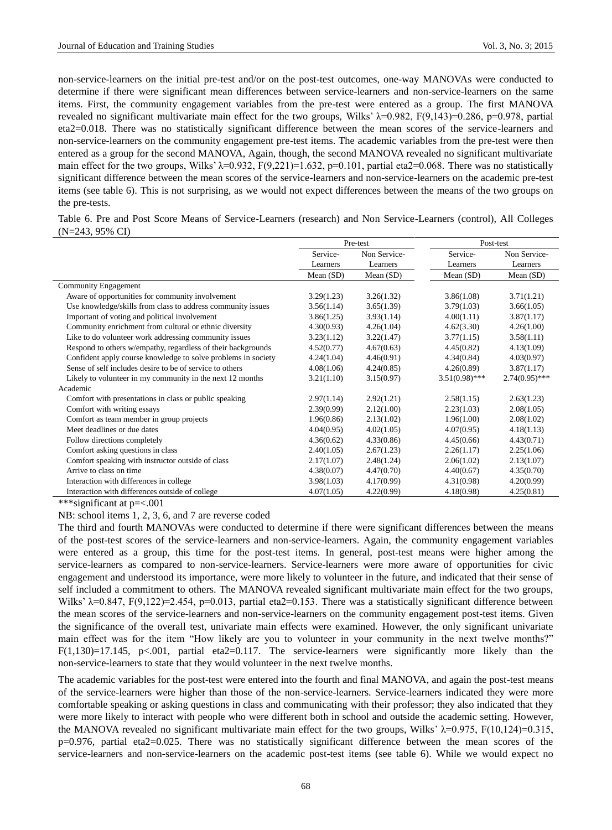non-service-learners on the initial pre-test and/or on the post-test outcomes, one-way MANOVAs were conducted to determine if there were significant mean differences between service-learners and non-service-learners on the same items. First, the community engagement variables from the pre-test were entered as a group. The first MANOVA revealed no significant multivariate main effect for the two groups, Wilks'  $\lambda$ =0.982, F(9,143)=0.286, p=0.978, partial eta2=0.018. There was no statistically significant difference between the mean scores of the service-learners and non-service-learners on the community engagement pre-test items. The academic variables from the pre-test were then entered as a group for the second MANOVA, Again, though, the second MANOVA revealed no significant multivariate main effect for the two groups, Wilks'  $\lambda$ =0.932, F(9,221)=1.632, p=0.101, partial eta2=0.068. There was no statistically significant difference between the mean scores of the service-learners and non-service-learners on the academic pre-test items (see table 6). This is not surprising, as we would not expect differences between the means of the two groups on the pre-tests.

Table 6. Pre and Post Score Means of Service-Learners (research) and Non Service-Learners (control), All Colleges (N=243, 95% CI)

|                                                               |                          | Pre-test   | Post-test        |                  |
|---------------------------------------------------------------|--------------------------|------------|------------------|------------------|
|                                                               | Service-<br>Non Service- |            | Service-         | Non Service-     |
|                                                               | Learners                 | Learners   | Learners         | Learners         |
|                                                               | Mean $(SD)$              | Mean (SD)  | Mean (SD)        | Mean $(SD)$      |
| Community Engagement                                          |                          |            |                  |                  |
| Aware of opportunities for community involvement              | 3.29(1.23)               | 3.26(1.32) | 3.86(1.08)       | 3.71(1.21)       |
| Use knowledge/skills from class to address community issues   | 3.56(1.14)               | 3.65(1.39) | 3.79(1.03)       | 3.66(1.05)       |
| Important of voting and political involvement                 | 3.86(1.25)               | 3.93(1.14) | 4.00(1.11)       | 3.87(1.17)       |
| Community enrichment from cultural or ethnic diversity        | 4.30(0.93)               | 4.26(1.04) | 4.62(3.30)       | 4.26(1.00)       |
| Like to do volunteer work addressing community issues         | 3.23(1.12)               | 3.22(1.47) | 3.77(1.15)       | 3.58(1.11)       |
| Respond to others w/empathy, regardless of their backgrounds  | 4.52(0.77)               | 4.67(0.63) | 4.45(0.82)       | 4.13(1.09)       |
| Confident apply course knowledge to solve problems in society | 4.24(1.04)               | 4.46(0.91) | 4.34(0.84)       | 4.03(0.97)       |
| Sense of self includes desire to be of service to others      | 4.08(1.06)               | 4.24(0.85) | 4.26(0.89)       | 3.87(1.17)       |
| Likely to volunteer in my community in the next 12 months     | 3.21(1.10)               | 3.15(0.97) | $3.51(0.98)$ *** | $2.74(0.95)$ *** |
| Academic                                                      |                          |            |                  |                  |
| Comfort with presentations in class or public speaking        | 2.97(1.14)               | 2.92(1.21) | 2.58(1.15)       | 2.63(1.23)       |
| Comfort with writing essays                                   | 2.39(0.99)               | 2.12(1.00) | 2.23(1.03)       | 2.08(1.05)       |
| Comfort as team member in group projects                      | 1.96(0.86)               | 2.13(1.02) | 1.96(1.00)       | 2.08(1.02)       |
| Meet deadlines or due dates                                   | 4.04(0.95)               | 4.02(1.05) | 4.07(0.95)       | 4.18(1.13)       |
| Follow directions completely                                  | 4.36(0.62)               | 4.33(0.86) | 4.45(0.66)       | 4.43(0.71)       |
| Comfort asking questions in class                             | 2.40(1.05)               | 2.67(1.23) | 2.26(1.17)       | 2.25(1.06)       |
| Comfort speaking with instructor outside of class             | 2.17(1.07)               | 2.48(1.24) | 2.06(1.02)       | 2.13(1.07)       |
| Arrive to class on time                                       | 4.38(0.07)               | 4.47(0.70) | 4.40(0.67)       | 4.35(0.70)       |
| Interaction with differences in college                       | 3.98(1.03)               | 4.17(0.99) | 4.31(0.98)       | 4.20(0.99)       |
| Interaction with differences outside of college               | 4.07(1.05)               | 4.22(0.99) | 4.18(0.98)       | 4.25(0.81)       |

\*\*\*significant at p=<.001

NB: school items 1, 2, 3, 6, and 7 are reverse coded

The third and fourth MANOVAs were conducted to determine if there were significant differences between the means of the post-test scores of the service-learners and non-service-learners. Again, the community engagement variables were entered as a group, this time for the post-test items. In general, post-test means were higher among the service-learners as compared to non-service-learners. Service-learners were more aware of opportunities for civic engagement and understood its importance, were more likely to volunteer in the future, and indicated that their sense of self included a commitment to others. The MANOVA revealed significant multivariate main effect for the two groups, Wilks'  $\lambda$ =0.847, F(9,122)=2.454, p=0.013, partial eta2=0.153. There was a statistically significant difference between the mean scores of the service-learners and non-service-learners on the community engagement post-test items. Given the significance of the overall test, univariate main effects were examined. However, the only significant univariate main effect was for the item "How likely are you to volunteer in your community in the next twelve months?" F(1,130)=17.145, p<.001, partial eta2=0.117. The service-learners were significantly more likely than the non-service-learners to state that they would volunteer in the next twelve months.

The academic variables for the post-test were entered into the fourth and final MANOVA, and again the post-test means of the service-learners were higher than those of the non-service-learners. Service-learners indicated they were more comfortable speaking or asking questions in class and communicating with their professor; they also indicated that they were more likely to interact with people who were different both in school and outside the academic setting. However, the MANOVA revealed no significant multivariate main effect for the two groups, Wilks'  $\lambda$ =0.975, F(10,124)=0.315, p=0.976, partial eta2=0.025. There was no statistically significant difference between the mean scores of the service-learners and non-service-learners on the academic post-test items (see table 6). While we would expect no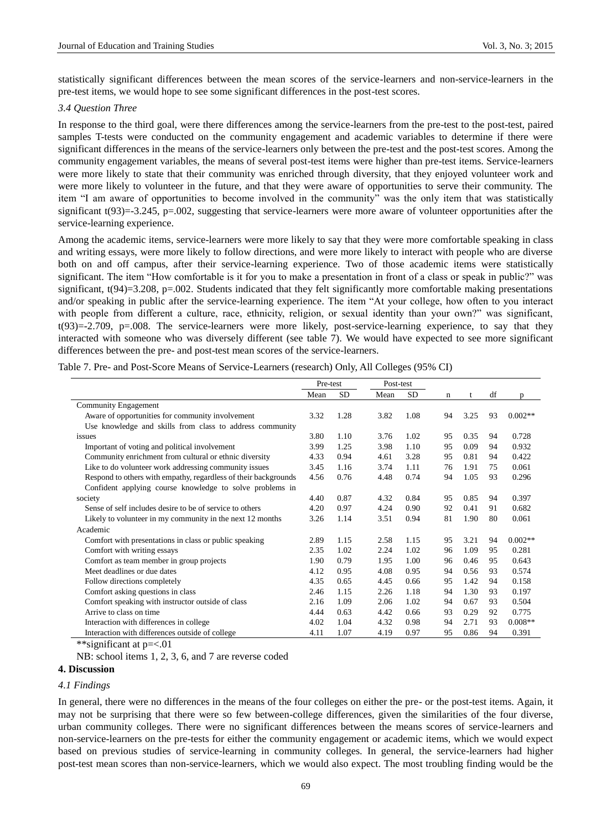statistically significant differences between the mean scores of the service-learners and non-service-learners in the pre-test items, we would hope to see some significant differences in the post-test scores.

#### *3.4 Question Three*

In response to the third goal, were there differences among the service-learners from the pre-test to the post-test, paired samples T-tests were conducted on the community engagement and academic variables to determine if there were significant differences in the means of the service-learners only between the pre-test and the post-test scores. Among the community engagement variables, the means of several post-test items were higher than pre-test items. Service-learners were more likely to state that their community was enriched through diversity, that they enjoyed volunteer work and were more likely to volunteer in the future, and that they were aware of opportunities to serve their community. The item "I am aware of opportunities to become involved in the community" was the only item that was statistically significant  $t(93)=3.245$ , p=.002, suggesting that service-learners were more aware of volunteer opportunities after the service-learning experience.

Among the academic items, service-learners were more likely to say that they were more comfortable speaking in class and writing essays, were more likely to follow directions, and were more likely to interact with people who are diverse both on and off campus, after their service-learning experience. Two of those academic items were statistically significant. The item "How comfortable is it for you to make a presentation in front of a class or speak in public?" was significant,  $t(94)=3.208$ ,  $p=.002$ . Students indicated that they felt significantly more comfortable making presentations and/or speaking in public after the service-learning experience. The item "At your college, how often to you interact with people from different a culture, race, ethnicity, religion, or sexual identity than your own?" was significant, t(93)=-2.709, p=.008. The service-learners were more likely, post-service-learning experience, to say that they interacted with someone who was diversely different (see table 7). We would have expected to see more significant differences between the pre- and post-test mean scores of the service-learners.

Table 7. Pre- and Post-Score Means of Service-Learners (research) Only, All Colleges (95% CI)

|                                                                 | Pre-test |           |      | Post-test |    |      |    |           |
|-----------------------------------------------------------------|----------|-----------|------|-----------|----|------|----|-----------|
|                                                                 | Mean     | <b>SD</b> | Mean | <b>SD</b> | n  | t    | df | D         |
| Community Engagement                                            |          |           |      |           |    |      |    |           |
| Aware of opportunities for community involvement                | 3.32     | 1.28      | 3.82 | 1.08      | 94 | 3.25 | 93 | $0.002**$ |
| Use knowledge and skills from class to address community        |          |           |      |           |    |      |    |           |
| issues                                                          | 3.80     | 1.10      | 3.76 | 1.02      | 95 | 0.35 | 94 | 0.728     |
| Important of voting and political involvement                   | 3.99     | 1.25      | 3.98 | 1.10      | 95 | 0.09 | 94 | 0.932     |
| Community enrichment from cultural or ethnic diversity          | 4.33     | 0.94      | 4.61 | 3.28      | 95 | 0.81 | 94 | 0.422     |
| Like to do volunteer work addressing community issues           | 3.45     | 1.16      | 3.74 | 1.11      | 76 | 1.91 | 75 | 0.061     |
| Respond to others with empathy, regardless of their backgrounds | 4.56     | 0.76      | 4.48 | 0.74      | 94 | 1.05 | 93 | 0.296     |
| Confident applying course knowledge to solve problems in        |          |           |      |           |    |      |    |           |
| society                                                         | 4.40     | 0.87      | 4.32 | 0.84      | 95 | 0.85 | 94 | 0.397     |
| Sense of self includes desire to be of service to others        | 4.20     | 0.97      | 4.24 | 0.90      | 92 | 0.41 | 91 | 0.682     |
| Likely to volunteer in my community in the next 12 months       | 3.26     | 1.14      | 3.51 | 0.94      | 81 | 1.90 | 80 | 0.061     |
| Academic                                                        |          |           |      |           |    |      |    |           |
| Comfort with presentations in class or public speaking          | 2.89     | 1.15      | 2.58 | 1.15      | 95 | 3.21 | 94 | $0.002**$ |
| Comfort with writing essays                                     | 2.35     | 1.02      | 2.24 | 1.02      | 96 | 1.09 | 95 | 0.281     |
| Comfort as team member in group projects                        | 1.90     | 0.79      | 1.95 | 1.00      | 96 | 0.46 | 95 | 0.643     |
| Meet deadlines or due dates                                     | 4.12     | 0.95      | 4.08 | 0.95      | 94 | 0.56 | 93 | 0.574     |
| Follow directions completely                                    | 4.35     | 0.65      | 4.45 | 0.66      | 95 | 1.42 | 94 | 0.158     |
| Comfort asking questions in class                               | 2.46     | 1.15      | 2.26 | 1.18      | 94 | 1.30 | 93 | 0.197     |
| Comfort speaking with instructor outside of class               | 2.16     | 1.09      | 2.06 | 1.02      | 94 | 0.67 | 93 | 0.504     |
| Arrive to class on time                                         | 4.44     | 0.63      | 4.42 | 0.66      | 93 | 0.29 | 92 | 0.775     |
| Interaction with differences in college.                        | 4.02     | 1.04      | 4.32 | 0.98      | 94 | 2.71 | 93 | $0.008**$ |
| Interaction with differences outside of college                 | 4.11     | 1.07      | 4.19 | 0.97      | 95 | 0.86 | 94 | 0.391     |

\*\*significant at p=<.01

NB: school items 1, 2, 3, 6, and 7 are reverse coded

## **4. Discussion**

## *4.1 Findings*

In general, there were no differences in the means of the four colleges on either the pre- or the post-test items. Again, it may not be surprising that there were so few between-college differences, given the similarities of the four diverse, urban community colleges. There were no significant differences between the means scores of service-learners and non-service-learners on the pre-tests for either the community engagement or academic items, which we would expect based on previous studies of service-learning in community colleges. In general, the service-learners had higher post-test mean scores than non-service-learners, which we would also expect. The most troubling finding would be the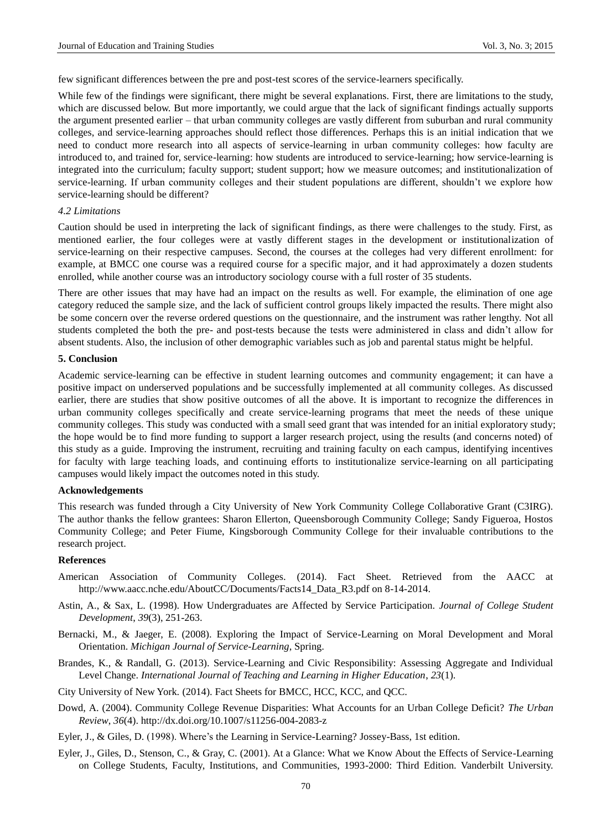few significant differences between the pre and post-test scores of the service-learners specifically.

While few of the findings were significant, there might be several explanations. First, there are limitations to the study, which are discussed below. But more importantly, we could argue that the lack of significant findings actually supports the argument presented earlier – that urban community colleges are vastly different from suburban and rural community colleges, and service-learning approaches should reflect those differences. Perhaps this is an initial indication that we need to conduct more research into all aspects of service-learning in urban community colleges: how faculty are introduced to, and trained for, service-learning: how students are introduced to service-learning; how service-learning is integrated into the curriculum; faculty support; student support; how we measure outcomes; and institutionalization of service-learning. If urban community colleges and their student populations are different, shouldn't we explore how service-learning should be different?

## *4.2 Limitations*

Caution should be used in interpreting the lack of significant findings, as there were challenges to the study. First, as mentioned earlier, the four colleges were at vastly different stages in the development or institutionalization of service-learning on their respective campuses. Second, the courses at the colleges had very different enrollment: for example, at BMCC one course was a required course for a specific major, and it had approximately a dozen students enrolled, while another course was an introductory sociology course with a full roster of 35 students.

There are other issues that may have had an impact on the results as well. For example, the elimination of one age category reduced the sample size, and the lack of sufficient control groups likely impacted the results. There might also be some concern over the reverse ordered questions on the questionnaire, and the instrument was rather lengthy. Not all students completed the both the pre- and post-tests because the tests were administered in class and didn't allow for absent students. Also, the inclusion of other demographic variables such as job and parental status might be helpful.

#### **5. Conclusion**

Academic service-learning can be effective in student learning outcomes and community engagement; it can have a positive impact on underserved populations and be successfully implemented at all community colleges. As discussed earlier, there are studies that show positive outcomes of all the above. It is important to recognize the differences in urban community colleges specifically and create service-learning programs that meet the needs of these unique community colleges. This study was conducted with a small seed grant that was intended for an initial exploratory study; the hope would be to find more funding to support a larger research project, using the results (and concerns noted) of this study as a guide. Improving the instrument, recruiting and training faculty on each campus, identifying incentives for faculty with large teaching loads, and continuing efforts to institutionalize service-learning on all participating campuses would likely impact the outcomes noted in this study.

## **Acknowledgements**

This research was funded through a City University of New York Community College Collaborative Grant (C3IRG). The author thanks the fellow grantees: Sharon Ellerton, Queensborough Community College; Sandy Figueroa, Hostos Community College; and Peter Fiume, Kingsborough Community College for their invaluable contributions to the research project.

#### **References**

- American Association of Community Colleges. (2014). Fact Sheet. Retrieved from the AACC at http://www.aacc.nche.edu/AboutCC/Documents/Facts14\_Data\_R3.pdf on 8-14-2014.
- Astin, A., & Sax, L. (1998). How Undergraduates are Affected by Service Participation. *Journal of College Student Development*, *39*(3), 251-263.
- Bernacki, M., & Jaeger, E. (2008). Exploring the Impact of Service-Learning on Moral Development and Moral Orientation. *Michigan Journal of Service-Learning*, Spring.
- Brandes, K., & Randall, G. (2013). Service-Learning and Civic Responsibility: Assessing Aggregate and Individual Level Change. *International Journal of Teaching and Learning in Higher Education*, *23*(1).
- City University of New York. (2014). Fact Sheets for BMCC, HCC, KCC, and QCC.
- Dowd, A. (2004). Community College Revenue Disparities: What Accounts for an Urban College Deficit? *The Urban Review*, *36*(4). http://dx.doi.org/10.1007/s11256-004-2083-z
- Eyler, J., & Giles, D. (1998). Where's the Learning in Service-Learning? Jossey-Bass, 1st edition.
- Eyler, J., Giles, D., Stenson, C., & Gray, C. (2001). At a Glance: What we Know About the Effects of Service-Learning on College Students, Faculty, Institutions, and Communities, 1993-2000: Third Edition. Vanderbilt University.